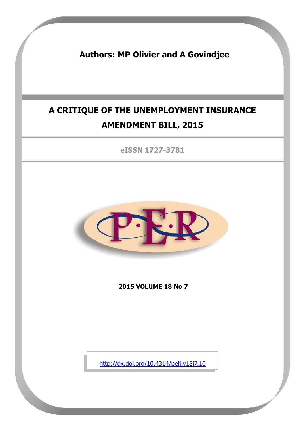**Authors: MP Olivier and A Govindjee**

# **A CRITIQUE OF THE UNEMPLOYMENT INSURANCE AMENDMENT BILL, 2015**

**eISSN 1727-3781**



**2015 VOLUME 18 No 7**

<http://dx.doi.org/10.4314/pelj.v18i7.10>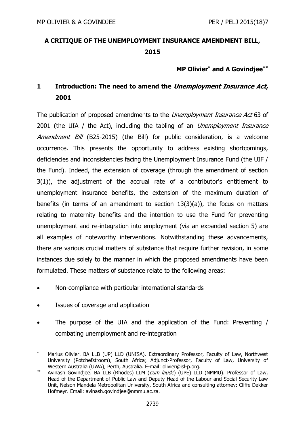# **A CRITIQUE OF THE UNEMPLOYMENT INSURANCE AMENDMENT BILL, 2015**

#### **MP Olivier\* and A Govindjee\*\***

# **1 Introduction: The need to amend the Unemployment Insurance Act, 2001**

The publication of proposed amendments to the *Unemployment Insurance Act* 63 of 2001 (the UIA / the Act), including the tabling of an *Unemployment Insurance* Amendment Bill (B25-2015) (the Bill) for public consideration, is a welcome occurrence. This presents the opportunity to address existing shortcomings, deficiencies and inconsistencies facing the Unemployment Insurance Fund (the UIF / the Fund). Indeed, the extension of coverage (through the amendment of section 3(1)), the adjustment of the accrual rate of a contributor's entitlement to unemployment insurance benefits, the extension of the maximum duration of benefits (in terms of an amendment to section 13(3)(a)), the focus on matters relating to maternity benefits and the intention to use the Fund for preventing unemployment and re-integration into employment (via an expanded section 5) are all examples of noteworthy interventions. Notwithstanding these advancements, there are various crucial matters of substance that require further revision, in some instances due solely to the manner in which the proposed amendments have been formulated. These matters of substance relate to the following areas:

- Non-compliance with particular international standards
- Issues of coverage and application

 $\overline{a}$ 

 The purpose of the UIA and the application of the Fund: Preventing / combating unemployment and re-integration

Marius Olivier. BA LLB (UP) LLD (UNISA). Extraordinary Professor, Faculty of Law, Northwest University (Potchefstroom), South Africa; Adjunct-Professor, Faculty of Law, University of Western Australia (UWA), Perth, Australia. E-mail: [olivier@isl-p.org.](mailto:olivier@isl-p.org)

<sup>\*\*</sup> Avinash Govindjee. BA LLB (Rhodes) LLM (*cum laude*) (UPE) LLD (NMMU). Professor of Law, Head of the Department of Public Law and Deputy Head of the Labour and Social Security Law Unit, Nelson Mandela Metropolitan University, South Africa and consulting attorney: Cliffe Dekker Hofmeyr. Email: avinash.govindjee@nmmu.ac.za.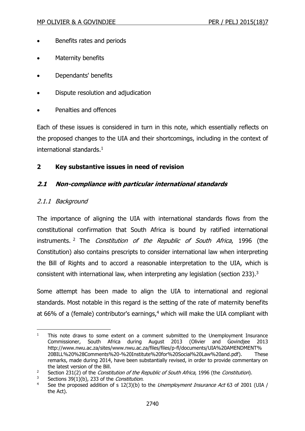- Benefits rates and periods
- Maternity benefits
- Dependants' benefits
- Dispute resolution and adjudication
- Penalties and offences

Each of these issues is considered in turn in this note, which essentially reflects on the proposed changes to the UIA and their shortcomings, including in the context of international standards.<sup>1</sup>

# **2 Key substantive issues in need of revision**

# **2.1 Non-compliance with particular international standards**

# 2.1.1 Background

The importance of aligning the UIA with international standards flows from the constitutional confirmation that South Africa is bound by ratified international instruments. <sup>2</sup> The *Constitution of the Republic of South Africa*, 1996 (the Constitution) also contains prescripts to consider international law when interpreting the Bill of Rights and to accord a reasonable interpretation to the UIA, which is consistent with international law, when interpreting any legislation (section 233).<sup>3</sup>

Some attempt has been made to align the UIA to international and regional standards. Most notable in this regard is the setting of the rate of maternity benefits at 66% of a (female) contributor's earnings, $4$  which will make the UIA compliant with

 $\overline{a}$  $1$  This note draws to some extent on a comment submitted to the Unemployment Insurance Commissioner, South Africa during August 2013 (Olivier and Govindjee 2013 http://www.nwu.ac.za/sites/www.nwu.ac.za/files/files/p-fl/documents/UIA%20AMENDMENT% 20BILL%20%28Comments%20-%20Institute%20for%20Social%20Law%20and.pdf). These remarks, made during 2014, have been substantially revised, in order to provide commentary on the latest version of the Bill.

<sup>&</sup>lt;sup>2</sup> Section 231(2) of the *Constitution of the Republic of South Africa*, 1996 (the *Constitution*).<br><sup>3</sup> Sections 39(1)(b) 233 of the *Constitution* 

 $3$  Sections 39(1)(b), 233 of the *Constitution*.<br> $4$  See the proposed addition of s 12(3)(b) to

See the proposed addition of s 12(3)(b) to the *Unemployment Insurance Act* 63 of 2001 (UIA / the Act).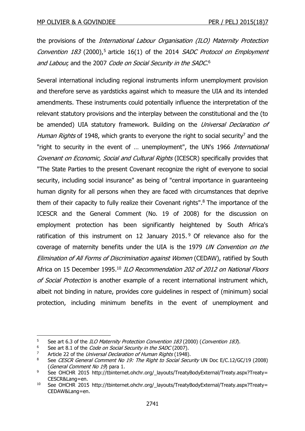the provisions of the International Labour Organisation (ILO) Maternity Protection Convention  $183$  (2000),<sup>5</sup> article  $16(1)$  of the 2014 SADC Protocol on Employment and Labour, and the 2007 Code on Social Security in the SADC.<sup>6</sup>

Several international including regional instruments inform unemployment provision and therefore serve as yardsticks against which to measure the UIA and its intended amendments. These instruments could potentially influence the interpretation of the relevant statutory provisions and the interplay between the constitutional and the (to be amended) UIA statutory framework. Building on the *Universal Declaration of* Human Rights of 1948, which grants to everyone the right to social security<sup>7</sup> and the "right to security in the event of ... unemployment", the UN's 1966 International Covenant on Economic, Social and Cultural Rights (ICESCR) specifically provides that "The State Parties to the present Covenant recognize the right of everyone to social security, including social insurance" as being of "central importance in guaranteeing human dignity for all persons when they are faced with circumstances that deprive them of their capacity to fully realize their Covenant rights". <sup>8</sup> The importance of the ICESCR and the General Comment (No. 19 of 2008) for the discussion on employment protection has been significantly heightened by South Africa's ratification of this instrument on 12 January 2015. <sup>9</sup> Of relevance also for the coverage of maternity benefits under the UIA is the 1979 UN Convention on the Elimination of All Forms of Discrimination against Women (CEDAW), ratified by South Africa on 15 December 1995.<sup>10</sup> ILO Recommendation 202 of 2012 on National Floors of Social Protection is another example of a recent international instrument which, albeit not binding in nature, provides core guidelines in respect of (minimum) social protection, including minimum benefits in the event of unemployment and

<sup>&</sup>lt;sup>5</sup> See art 6.3 of the *ILO Maternity Protection Convention 183* (2000) (Convention 183).

<sup>&</sup>lt;sup>6</sup> See art 8.1 of the *Code on Social Security in the SADC* (2007).

<sup>&</sup>lt;sup>7</sup> Article 22 of the Universal Declaration of Human Rights (1948).<br><sup>8</sup> See CESCR Ceneral Comment No. 19: The Bight to Social Secu

See CESCR General Comment No 19: The Right to Social Security UN Doc E/C.12/GC/19 (2008) (General Comment No 19) para 1.

<sup>&</sup>lt;sup>9</sup> See OHCHR 2015 http://tbinternet.ohchr.org/ layouts/TreatyBodyExternal/Treaty.aspx?Treaty= CESCR&Lang=en.

<sup>&</sup>lt;sup>10</sup> See OHCHR 2015 http://tbinternet.ohchr.org/ layouts/TreatyBodyExternal/Treaty.aspx?Treaty= CEDAW&Lang=en.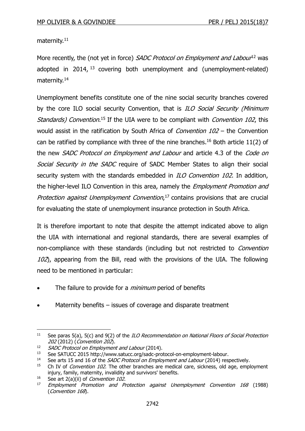maternity.<sup>11</sup>

More recently, the (not yet in force) *SADC Protocol on Employment and Labour*<sup>12</sup> was adopted in 2014, <sup>13</sup> covering both unemployment and (unemployment-related) maternity.<sup>14</sup>

Unemployment benefits constitute one of the nine social security branches covered by the core ILO social security Convention, that is ILO Social Security (Minimum Standards) Convention.<sup>15</sup> If the UIA were to be compliant with Convention 102, this would assist in the ratification by South Africa of *Convention*  $102$  – the Convention can be ratified by compliance with three of the nine branches.<sup>16</sup> Both article 11(2) of the new SADC Protocol on Employment and Labour and article 4.3 of the Code on Social Security in the SADC require of SADC Member States to align their social security system with the standards embedded in ILO Convention 102. In addition, the higher-level ILO Convention in this area, namely the *Employment Promotion and* Protection against Unemployment Convention,<sup>17</sup> contains provisions that are crucial for evaluating the state of unemployment insurance protection in South Africa.

It is therefore important to note that despite the attempt indicated above to align the UIA with international and regional standards, there are several examples of non-compliance with these standards (including but not restricted to *Convention* 102), appearing from the Bill, read with the provisions of the UIA. The following need to be mentioned in particular:

- The failure to provide for a *minimum* period of benefits
- Maternity benefits issues of coverage and disparate treatment

 $\overline{a}$ <sup>11</sup> See paras 5(a), 5(c) and 9(2) of the *ILO Recommendation on National Floors of Social Protection* 202 (2012) (Convention 202).

<sup>12</sup>  $SADC$  Protocol on Employment and Labour (2014).

<sup>13</sup> See SATUCC 2015 http://www.satucc.org/sadc-protocol-on-employment-labour.<br>14 See arts 15 and 16 of the *SADC Protocol on Employment and Labour* (2014) resi

<sup>&</sup>lt;sup>14</sup> See arts 15 and 16 of the *SADC Protocol on Employment and Labour* (2014) respectively.<br><sup>15</sup> Ch IV of *Convention 102* The other branches are medical care, sickness, old age, empl

Ch IV of Convention 102. The other branches are medical care, sickness, old age, employment injury, family, maternity, invalidity and survivors' benefits.

<sup>&</sup>lt;sup>16</sup> See art 2(a)(ii) of *Convention 102*.<br><sup>17</sup> Employment, Promotion, and Pi

<sup>17</sup> Employment Promotion and Protection against Unemployment Convention 168 (1988) (Convention 168).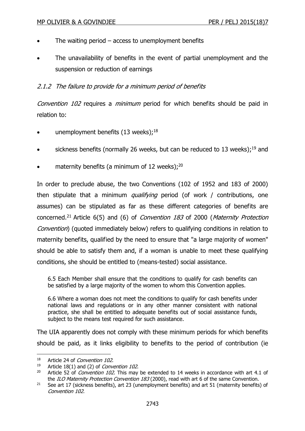- The waiting period access to unemployment benefits
- The unavailability of benefits in the event of partial unemployment and the suspension or reduction of earnings

#### 2.1.2 The failure to provide for a minimum period of benefits

Convention 102 requires a *minimum* period for which benefits should be paid in relation to:

- unemployment benefits (13 weeks);<sup>18</sup>
- sickness benefits (normally 26 weeks, but can be reduced to 13 weeks);<sup>19</sup> and
- maternity benefits (a minimum of 12 weeks);<sup>20</sup>

In order to preclude abuse, the two Conventions (102 of 1952 and 183 of 2000) then stipulate that a minimum *qualifying* period (of work / contributions, one assumes) can be stipulated as far as these different categories of benefits are concerned.<sup>21</sup> Article 6(5) and (6) of *Convention 183* of 2000 (*Maternity Protection* Convention) (quoted immediately below) refers to qualifying conditions in relation to maternity benefits, qualified by the need to ensure that "a large majority of women" should be able to satisfy them and, if a woman is unable to meet these qualifying conditions, she should be entitled to (means-tested) social assistance.

6.5 Each Member shall ensure that the conditions to qualify for cash benefits can be satisfied by a large majority of the women to whom this Convention applies.

6.6 Where a woman does not meet the conditions to qualify for cash benefits under national laws and regulations or in any other manner consistent with national practice, she shall be entitled to adequate benefits out of social assistance funds, subject to the means test required for such assistance.

The UIA apparently does not comply with these minimum periods for which benefits should be paid, as it links eligibility to benefits to the period of contribution (ie

<sup>&</sup>lt;sup>18</sup> Article 24 of *Convention 102*.

<sup>&</sup>lt;sup>19</sup> Article 18(1) and (2) of *Convention 102*.<br><sup>20</sup> Article 52 of *Convention 102* This may

Article 52 of *Convention 102*. This may be extended to 14 weeks in accordance with art 4.1 of the ILO Maternity Protection Convention 183 (2000), read with art 6 of the same Convention.

<sup>&</sup>lt;sup>21</sup> See art 17 (sickness benefits), art 23 (unemployment benefits) and art 51 (maternity benefits) of Convention 102.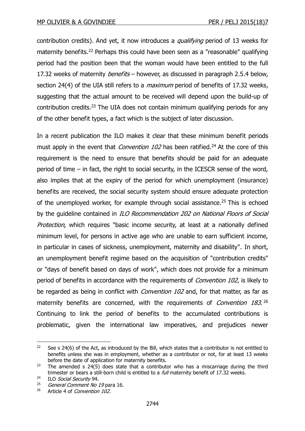contribution credits). And yet, it now introduces a *qualifying* period of 13 weeks for maternity benefits.<sup>22</sup> Perhaps this could have been seen as a "reasonable" qualifying period had the position been that the woman would have been entitled to the full 17.32 weeks of maternity *benefits* – however, as discussed in paragraph 2.5.4 below, section 24(4) of the UIA still refers to a *maximum* period of benefits of 17.32 weeks, suggesting that the actual amount to be received will depend upon the build-up of contribution credits. <sup>23</sup> The UIA does not contain minimum qualifying periods for any of the other benefit types, a fact which is the subject of later discussion.

In a recent publication the ILO makes it clear that these minimum benefit periods must apply in the event that *Convention 102* has been ratified.<sup>24</sup> At the core of this requirement is the need to ensure that benefits should be paid for an adequate period of time – in fact, the right to social security, in the ICESCR sense of the word, also implies that at the expiry of the period for which unemployment (insurance) benefits are received, the social security system should ensure adequate protection of the unemployed worker, for example through social assistance.<sup>25</sup> This is echoed by the guideline contained in ILO Recommendation 202 on National Floors of Social Protection, which requires "basic income security, at least at a nationally defined minimum level, for persons in active age who are unable to earn sufficient income, in particular in cases of sickness, unemployment, maternity and disability". In short, an unemployment benefit regime based on the acquisition of "contribution credits" or "days of benefit based on days of work", which does not provide for a minimum period of benefits in accordance with the requirements of *Convention 102*, is likely to be regarded as being in conflict with *Convention 102* and, for that matter, as far as maternity benefits are concerned, with the requirements of *Convention 183*.<sup>26</sup> Continuing to link the period of benefits to the accumulated contributions is problematic, given the international law imperatives, and prejudices newer

<sup>&</sup>lt;sup>22</sup> See s 24(6) of the Act, as introduced by the Bill, which states that a contributor is not entitled to benefits unless she was in employment, whether as a contributor or not, for at least 13 weeks before the date of application for maternity benefits.

<sup>&</sup>lt;sup>23</sup> The amended s  $24(5)$  does state that a contributor who has a miscarriage during the third trimester or bears a still-born child is entitled to a *full* maternity benefit of 17.32 weeks.

<sup>&</sup>lt;sup>24</sup> ILO *Social Security* 94.

General Comment No 19 para 16.

<sup>&</sup>lt;sup>26</sup> Article 4 of *Convention 102*.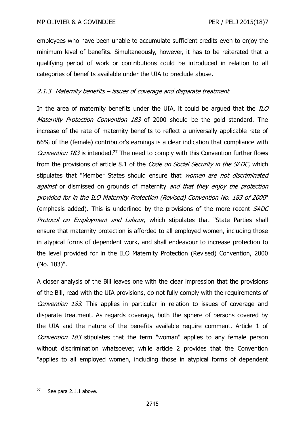employees who have been unable to accumulate sufficient credits even to enjoy the minimum level of benefits. Simultaneously, however, it has to be reiterated that a qualifying period of work or contributions could be introduced in relation to all categories of benefits available under the UIA to preclude abuse.

# 2.1.3 Maternity benefits – issues of coverage and disparate treatment

In the area of maternity benefits under the UIA, it could be argued that the  $ILO$ Maternity Protection Convention 183 of 2000 should be the gold standard. The increase of the rate of maternity benefits to reflect a universally applicable rate of 66% of the (female) contributor's earnings is a clear indication that compliance with Convention 183 is intended.<sup>27</sup> The need to comply with this Convention further flows from the provisions of article 8.1 of the *Code on Social Security in the SADC*, which stipulates that "Member States should ensure that women are not discriminated against or dismissed on grounds of maternity and that they enjoy the protection provided for in the ILO Maternity Protection (Revised) Convention No. 183 of 2000" (emphasis added). This is underlined by the provisions of the more recent SADC Protocol on Employment and Labour, which stipulates that "State Parties shall ensure that maternity protection is afforded to all employed women, including those in atypical forms of dependent work, and shall endeavour to increase protection to the level provided for in the ILO Maternity Protection (Revised) Convention, 2000 (No. 183)".

A closer analysis of the Bill leaves one with the clear impression that the provisions of the Bill, read with the UIA provisions, do not fully comply with the requirements of Convention 183. This applies in particular in relation to issues of coverage and disparate treatment. As regards coverage, both the sphere of persons covered by the UIA and the nature of the benefits available require comment. Article 1 of Convention 183 stipulates that the term "woman" applies to any female person without discrimination whatsoever, while article 2 provides that the Convention "applies to all employed women, including those in atypical forms of dependent

 $27$  See para 2.1.1 above.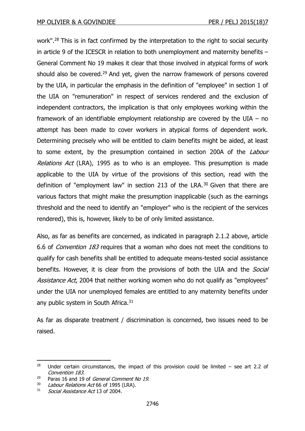work".<sup>28</sup> This is in fact confirmed by the interpretation to the right to social security in article 9 of the ICESCR in relation to both unemployment and maternity benefits – General Comment No 19 makes it clear that those involved in atypical forms of work should also be covered.<sup>29</sup> And yet, given the narrow framework of persons covered by the UIA, in particular the emphasis in the definition of "employee" in section 1 of the UIA on "remuneration" in respect of services rendered and the exclusion of independent contractors, the implication is that only employees working within the framework of an identifiable employment relationship are covered by the UIA – no attempt has been made to cover workers in atypical forms of dependent work. Determining precisely who will be entitled to claim benefits might be aided, at least to some extent, by the presumption contained in section 200A of the Labour Relations Act (LRA), 1995 as to who is an employee. This presumption is made applicable to the UIA by virtue of the provisions of this section, read with the definition of "employment law" in section 213 of the LRA.<sup>30</sup> Given that there are various factors that might make the presumption inapplicable (such as the earnings threshold and the need to identify an "employer" who is the recipient of the services rendered), this is, however, likely to be of only limited assistance.

Also, as far as benefits are concerned, as indicated in paragraph 2.1.2 above, article 6.6 of Convention 183 requires that a woman who does not meet the conditions to qualify for cash benefits shall be entitled to adequate means-tested social assistance benefits. However, it is clear from the provisions of both the UIA and the *Social* Assistance Act, 2004 that neither working women who do not qualify as "employees" under the UIA nor unemployed females are entitled to any maternity benefits under any public system in South Africa.<sup>31</sup>

As far as disparate treatment / discrimination is concerned, two issues need to be raised.

<sup>&</sup>lt;sup>28</sup> Under certain circumstances, the impact of this provision could be limited – see art 2.2 of Convention 183.

<sup>&</sup>lt;sup>29</sup> Paras 16 and 19 of *General Comment No 19*.<br><sup>30</sup> *Labour Relations Act* 66 of 1995 (LRA)

Labour Relations Act 66 of 1995 (LRA).

<sup>31</sup> Social Assistance Act 13 of 2004.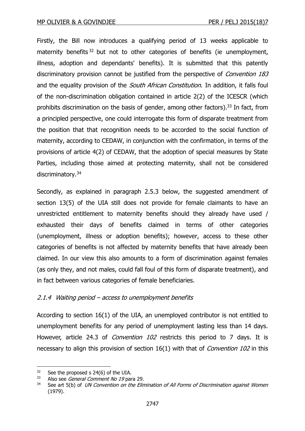Firstly, the Bill now introduces a qualifying period of 13 weeks applicable to maternity benefits<sup>32</sup> but not to other categories of benefits (ie unemployment, illness, adoption and dependants' benefits). It is submitted that this patently discriminatory provision cannot be justified from the perspective of *Convention 183* and the equality provision of the *South African Constitution*. In addition, it falls foul of the non-discrimination obligation contained in article 2(2) of the ICESCR (which prohibits discrimination on the basis of gender, among other factors).<sup>33</sup> In fact, from a principled perspective, one could interrogate this form of disparate treatment from the position that that recognition needs to be accorded to the social function of maternity, according to CEDAW, in conjunction with the confirmation, in terms of the provisions of article 4(2) of CEDAW, that the adoption of special measures by State Parties, including those aimed at protecting maternity, shall not be considered discriminatory.<sup>34</sup>

Secondly, as explained in paragraph 2.5.3 below, the suggested amendment of section 13(5) of the UIA still does not provide for female claimants to have an unrestricted entitlement to maternity benefits should they already have used / exhausted their days of benefits claimed in terms of other categories (unemployment, illness or adoption benefits); however, access to these other categories of benefits is not affected by maternity benefits that have already been claimed. In our view this also amounts to a form of discrimination against females (as only they, and not males, could fall foul of this form of disparate treatment), and in fact between various categories of female beneficiaries.

#### 2.1.4 Waiting period – access to unemployment benefits

According to section 16(1) of the UIA, an unemployed contributor is not entitled to unemployment benefits for any period of unemployment lasting less than 14 days. However, article 24.3 of *Convention 102* restricts this period to 7 days. It is necessary to align this provision of section 16(1) with that of *Convention 102* in this

 $32$  See the proposed s 24(6) of the UIA.<br> $33$  Also see *General Comment No. 19* part

 $33$  Also see *General Comment No 19* para 29.<br> $34$  See art 5(b) of *UN Convention on the Elin* 

See art 5(b) of UN Convention on the Elimination of All Forms of Discrimination against Women (1979).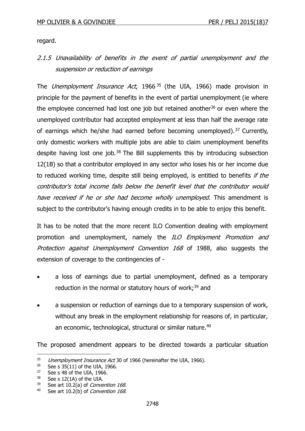regard.

2.1.5 Unavailability of benefits in the event of partial unemployment and the suspension or reduction of earnings

The *Unemployment Insurance Act*, 1966<sup>35</sup> (the UIA, 1966) made provision in principle for the payment of benefits in the event of partial unemployment (ie where the employee concerned had lost one job but retained another<sup>36</sup> or even where the unemployed contributor had accepted employment at less than half the average rate of earnings which he/she had earned before becoming unemployed).<sup>37</sup> Currently, only domestic workers with multiple jobs are able to claim unemployment benefits despite having lost one job.<sup>38</sup> The Bill supplements this by introducing subsection 12(1B) so that a contributor employed in any sector who loses his or her income due to reduced working time, despite still being employed, is entitled to benefits if the contributor's total income falls below the benefit level that the contributor would have received if he or she had become wholly unemployed. This amendment is subject to the contributor's having enough credits in to be able to enjoy this benefit.

It has to be noted that the more recent ILO Convention dealing with employment promotion and unemployment, namely the ILO Employment Promotion and Protection against Unemployment Convention 168 of 1988, also suggests the extension of coverage to the contingencies of -

- a loss of earnings due to partial unemployment, defined as a temporary reduction in the normal or statutory hours of work; $39$  and
- a suspension or reduction of earnings due to a temporary suspension of work, without any break in the employment relationship for reasons of, in particular, an economic, technological, structural or similar nature.<sup>40</sup>

The proposed amendment appears to be directed towards a particular situation

<sup>&</sup>lt;sup>35</sup> Unemployment Insurance Act 30 of 1966 (hereinafter the UIA, 1966).

 $36$  See s 35(11) of the UIA, 1966.<br> $37$  See s 48 of the UIA, 1966

 $37$  See s 48 of the UIA, 1966.<br> $38$  See s 12(1A) of the UIA

 $38$  See s 12(1A) of the UIA.<br> $39$  See art 10.2(a) of Conve

See art 10.2(a) of Convention 168.

<sup>40</sup> See art 10.2(b) of *Convention 168*.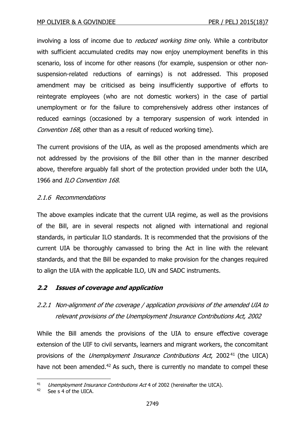involving a loss of income due to *reduced working time* only. While a contributor with sufficient accumulated credits may now enjoy unemployment benefits in this scenario, loss of income for other reasons (for example, suspension or other nonsuspension-related reductions of earnings) is not addressed. This proposed amendment may be criticised as being insufficiently supportive of efforts to reintegrate employees (who are not domestic workers) in the case of partial unemployment or for the failure to comprehensively address other instances of reduced earnings (occasioned by a temporary suspension of work intended in Convention 168, other than as a result of reduced working time).

The current provisions of the UIA, as well as the proposed amendments which are not addressed by the provisions of the Bill other than in the manner described above, therefore arguably fall short of the protection provided under both the UIA, 1966 and ILO Convention 168.

#### 2.1.6 Recommendations

The above examples indicate that the current UIA regime, as well as the provisions of the Bill, are in several respects not aligned with international and regional standards, in particular ILO standards. It is recommended that the provisions of the current UIA be thoroughly canvassed to bring the Act in line with the relevant standards, and that the Bill be expanded to make provision for the changes required to align the UIA with the applicable ILO, UN and SADC instruments.

#### **2.2 Issues of coverage and application**

# 2.2.1 Non-alignment of the coverage / application provisions of the amended UIA to relevant provisions of the Unemployment Insurance Contributions Act, 2002

While the Bill amends the provisions of the UIA to ensure effective coverage extension of the UIF to civil servants, learners and migrant workers, the concomitant provisions of the *Unemployment Insurance Contributions Act*, 2002<sup>41</sup> (the UICA) have not been amended.<sup>42</sup> As such, there is currently no mandate to compel these

<sup>41</sup> Unemployment Insurance Contributions Act 4 of 2002 (hereinafter the UICA).

<sup>42</sup> See s 4 of the UICA.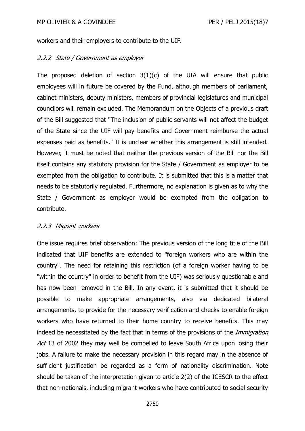workers and their employers to contribute to the UIF.

## 2.2.2 State / Government as employer

The proposed deletion of section  $3(1)(c)$  of the UIA will ensure that public employees will in future be covered by the Fund, although members of parliament, cabinet ministers, deputy ministers, members of provincial legislatures and municipal councilors will remain excluded. The Memorandum on the Objects of a previous draft of the Bill suggested that "The inclusion of public servants will not affect the budget of the State since the UIF will pay benefits and Government reimburse the actual expenses paid as benefits." It is unclear whether this arrangement is still intended. However, it must be noted that neither the previous version of the Bill nor the Bill itself contains any statutory provision for the State / Government as employer to be exempted from the obligation to contribute. It is submitted that this is a matter that needs to be statutorily regulated. Furthermore, no explanation is given as to why the State / Government as employer would be exempted from the obligation to contribute.

#### 2.2.3 Migrant workers

One issue requires brief observation: The previous version of the long title of the Bill indicated that UIF benefits are extended to "foreign workers who are within the country". The need for retaining this restriction (of a foreign worker having to be "within the country" in order to benefit from the UIF) was seriously questionable and has now been removed in the Bill. In any event, it is submitted that it should be possible to make appropriate arrangements, also via dedicated bilateral arrangements, to provide for the necessary verification and checks to enable foreign workers who have returned to their home country to receive benefits. This may indeed be necessitated by the fact that in terms of the provisions of the *Immigration* Act 13 of 2002 they may well be compelled to leave South Africa upon losing their jobs. A failure to make the necessary provision in this regard may in the absence of sufficient justification be regarded as a form of nationality discrimination. Note should be taken of the interpretation given to article 2(2) of the ICESCR to the effect that non-nationals, including migrant workers who have contributed to social security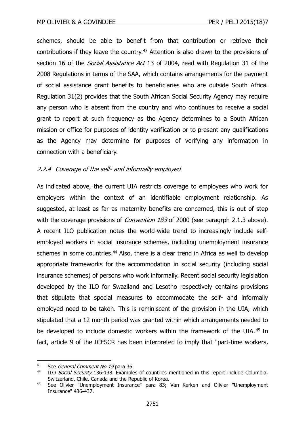schemes, should be able to benefit from that contribution or retrieve their contributions if they leave the country.<sup>43</sup> Attention is also drawn to the provisions of section 16 of the *Social Assistance Act* 13 of 2004, read with Regulation 31 of the 2008 Regulations in terms of the SAA, which contains arrangements for the payment of social assistance grant benefits to beneficiaries who are outside South Africa. Regulation 31(2) provides that the South African Social Security Agency may require any person who is absent from the country and who continues to receive a social grant to report at such frequency as the Agency determines to a South African mission or office for purposes of identity verification or to present any qualifications as the Agency may determine for purposes of verifying any information in connection with a beneficiary.

## 2.2.4 Coverage of the self- and informally employed

As indicated above, the current UIA restricts coverage to employees who work for employers within the context of an identifiable employment relationship. As suggested, at least as far as maternity benefits are concerned, this is out of step with the coverage provisions of *Convention 183* of 2000 (see paragrph 2.1.3 above). A recent ILO publication notes the world-wide trend to increasingly include selfemployed workers in social insurance schemes, including unemployment insurance schemes in some countries.<sup>44</sup> Also, there is a clear trend in Africa as well to develop appropriate frameworks for the accommodation in social security (including social insurance schemes) of persons who work informally. Recent social security legislation developed by the ILO for Swaziland and Lesotho respectively contains provisions that stipulate that special measures to accommodate the self- and informally employed need to be taken. This is reminiscent of the provision in the UIA, which stipulated that a 12 month period was granted within which arrangements needed to be developed to include domestic workers within the framework of the UIA.<sup>45</sup> In fact, article 9 of the ICESCR has been interpreted to imply that "part-time workers,

<sup>&</sup>lt;sup>43</sup> See *General Comment No 19* para 36.<br><sup>44</sup> ILO *Social Security* 136-138 Example

ILO Social Security 136-138. Examples of countries mentioned in this report include Columbia, Switzerland, Chile, Canada and the Republic of Korea.

<sup>45</sup> See Olivier "Unemployment Insurance" para 83; Van Kerken and Olivier "Unemployment Insurance" 436-437.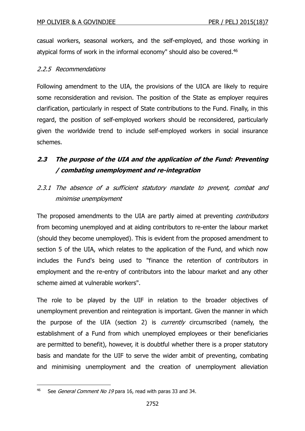casual workers, seasonal workers, and the self-employed, and those working in atypical forms of work in the informal economy" should also be covered.<sup>46</sup>

## 2.2.5 Recommendations

Following amendment to the UIA, the provisions of the UICA are likely to require some reconsideration and revision. The position of the State as employer requires clarification, particularly in respect of State contributions to the Fund. Finally, in this regard, the position of self-employed workers should be reconsidered, particularly given the worldwide trend to include self-employed workers in social insurance schemes.

# **2.3 The purpose of the UIA and the application of the Fund: Preventing / combating unemployment and re-integration**

2.3.1 The absence of a sufficient statutory mandate to prevent, combat and minimise unemployment

The proposed amendments to the UIA are partly aimed at preventing *contributors* from becoming unemployed and at aiding contributors to re-enter the labour market (should they become unemployed). This is evident from the proposed amendment to section 5 of the UIA, which relates to the application of the Fund, and which now includes the Fund's being used to "finance the retention of contributors in employment and the re-entry of contributors into the labour market and any other scheme aimed at vulnerable workers".

The role to be played by the UIF in relation to the broader objectives of unemployment prevention and reintegration is important. Given the manner in which the purpose of the UIA (section 2) is *currently* circumscribed (namely, the establishment of a Fund from which unemployed employees or their beneficiaries are permitted to benefit), however, it is doubtful whether there is a proper statutory basis and mandate for the UIF to serve the wider ambit of preventing, combating and minimising unemployment and the creation of unemployment alleviation

 $\overline{a}$ <sup>46</sup> See *General Comment No 19* para 16, read with paras 33 and 34.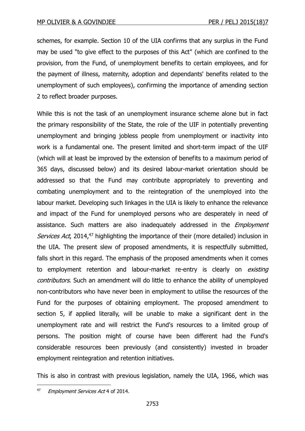schemes, for example. Section 10 of the UIA confirms that any surplus in the Fund may be used "to give effect to the purposes of this Act" (which are confined to the provision, from the Fund, of unemployment benefits to certain employees, and for the payment of illness, maternity, adoption and dependants' benefits related to the unemployment of such employees), confirming the importance of amending section 2 to reflect broader purposes.

While this is not the task of an unemployment insurance scheme alone but in fact the primary responsibility of the State, the role of the UIF in potentially preventing unemployment and bringing jobless people from unemployment or inactivity into work is a fundamental one. The present limited and short-term impact of the UIF (which will at least be improved by the extension of benefits to a maximum period of 365 days, discussed below) and its desired labour-market orientation should be addressed so that the Fund may contribute appropriately to preventing and combating unemployment and to the reintegration of the unemployed into the labour market. Developing such linkages in the UIA is likely to enhance the relevance and impact of the Fund for unemployed persons who are desperately in need of assistance. Such matters are also inadequately addressed in the *Employment* Services Act, 2014,<sup>47</sup> highlighting the importance of their (more detailed) inclusion in the UIA. The present slew of proposed amendments, it is respectfully submitted, falls short in this regard. The emphasis of the proposed amendments when it comes to employment retention and labour-market re-entry is clearly on *existing* contributors. Such an amendment will do little to enhance the ability of unemployed non-contributors who have never been in employment to utilise the resources of the Fund for the purposes of obtaining employment. The proposed amendment to section 5, if applied literally, will be unable to make a significant dent in the unemployment rate and will restrict the Fund's resources to a limited group of persons. The position might of course have been different had the Fund's considerable resources been previously (and consistently) invested in broader employment reintegration and retention initiatives.

This is also in contrast with previous legislation, namely the UIA, 1966, which was

 $\overline{a}$ 47 Employment Services Act 4 of 2014.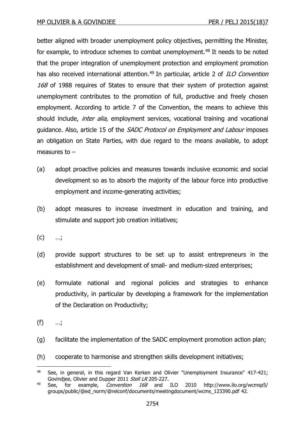better aligned with broader unemployment policy objectives, permitting the Minister, for example, to introduce schemes to combat unemployment.<sup>48</sup> It needs to be noted that the proper integration of unemployment protection and employment promotion has also received international attention.<sup>49</sup> In particular, article 2 of *ILO Convention* 168 of 1988 requires of States to ensure that their system of protection against unemployment contributes to the promotion of full, productive and freely chosen employment. According to article 7 of the Convention, the means to achieve this should include, *inter alia*, employment services, vocational training and vocational guidance. Also, article 15 of the SADC Protocol on Employment and Labour imposes an obligation on State Parties, with due regard to the means available, to adopt measures to –

- (a) adopt proactive policies and measures towards inclusive economic and social development so as to absorb the majority of the labour force into productive employment and income-generating activities;
- (b) adopt measures to increase investment in education and training, and stimulate and support job creation initiatives;
- $(c)$  ...;
- (d) provide support structures to be set up to assist entrepreneurs in the establishment and development of small- and medium-sized enterprises;
- (e) formulate national and regional policies and strategies to enhance productivity, in particular by developing a framework for the implementation of the Declaration on Productivity;
- $(f)$  ...;
- (g) facilitate the implementation of the SADC employment promotion action plan;
- (h) cooperate to harmonise and strengthen skills development initiatives;

 $\overline{a}$ 48 See, in general, in this regard Van Kerken and Olivier "Unemployment Insurance" 417-421; Govindjee, Olivier and Dupper 2011 Stell LR 205-227.

<sup>49</sup> See, for example, *Convention 168* and ILO 2010 http://www.ilo.org/wcmsp5/ groups/public/@ed\_norm/@relconf/documents/meetingdocument/wcms\_123390.pdf 42.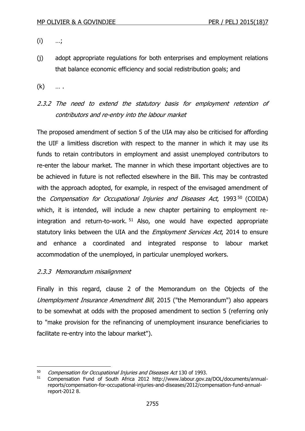- $(i)$  …;
- (j) adopt appropriate regulations for both enterprises and employment relations that balance economic efficiency and social redistribution goals; and
- $(k)$  ....
- 2.3.2 The need to extend the statutory basis for employment retention of contributors and re-entry into the labour market

The proposed amendment of section 5 of the UIA may also be criticised for affording the UIF a limitless discretion with respect to the manner in which it may use its funds to retain contributors in employment and assist unemployed contributors to re-enter the labour market. The manner in which these important objectives are to be achieved in future is not reflected elsewhere in the Bill. This may be contrasted with the approach adopted, for example, in respect of the envisaged amendment of the Compensation for Occupational Injuries and Diseases Act, 1993<sup>50</sup> (COIDA) which, it is intended, will include a new chapter pertaining to employment reintegration and return-to-work.  $51$  Also, one would have expected appropriate statutory links between the UIA and the *Employment Services Act*, 2014 to ensure and enhance a coordinated and integrated response to labour market accommodation of the unemployed, in particular unemployed workers.

# 2.3.3 Memorandum misalignment

 $\overline{a}$ 

Finally in this regard, clause 2 of the Memorandum on the Objects of the Unemployment Insurance Amendment Bill, 2015 ("the Memorandum") also appears to be somewhat at odds with the proposed amendment to section 5 (referring only to "make provision for the refinancing of unemployment insurance beneficiaries to facilitate re-entry into the labour market").

<sup>&</sup>lt;sup>50</sup> Compensation for Occupational Injuries and Diseases Act 130 of 1993.<br><sup>51</sup> Compensation, Fund of South Africa 2012, http://www.labour.gov.zi

<sup>51</sup> Compensation Fund of South Africa 2012 http://www.labour.gov.za/DOL/documents/annualreports/compensation-for-occupational-injuries-and-diseases/2012/compensation-fund-annualreport-2012 8.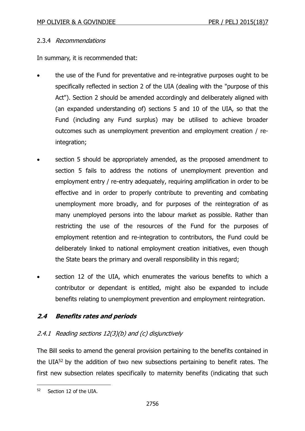# 2.3.4 Recommendations

In summary, it is recommended that:

- the use of the Fund for preventative and re-integrative purposes ought to be specifically reflected in section 2 of the UIA (dealing with the "purpose of this Act"). Section 2 should be amended accordingly and deliberately aligned with (an expanded understanding of) sections 5 and 10 of the UIA, so that the Fund (including any Fund surplus) may be utilised to achieve broader outcomes such as unemployment prevention and employment creation / reintegration;
- section 5 should be appropriately amended, as the proposed amendment to section 5 fails to address the notions of unemployment prevention and employment entry / re-entry adequately, requiring amplification in order to be effective and in order to properly contribute to preventing and combating unemployment more broadly, and for purposes of the reintegration of as many unemployed persons into the labour market as possible. Rather than restricting the use of the resources of the Fund for the purposes of employment retention and re-integration to contributors, the Fund could be deliberately linked to national employment creation initiatives, even though the State bears the primary and overall responsibility in this regard;
- section 12 of the UIA, which enumerates the various benefits to which a contributor or dependant is entitled, might also be expanded to include benefits relating to unemployment prevention and employment reintegration.

# **2.4 Benefits rates and periods**

# 2.4.1 Reading sections 12(3)(b) and (c) disjunctively

The Bill seeks to amend the general provision pertaining to the benefits contained in the UIA $52$  by the addition of two new subsections pertaining to benefit rates. The first new subsection relates specifically to maternity benefits (indicating that such

 $\overline{a}$ <sup>52</sup> Section 12 of the UIA.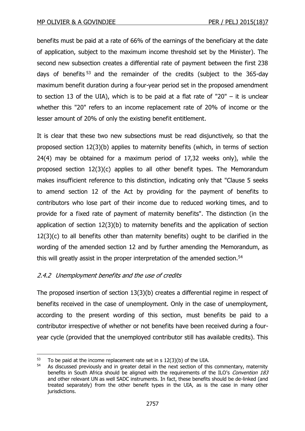benefits must be paid at a rate of 66% of the earnings of the beneficiary at the date of application, subject to the maximum income threshold set by the Minister). The second new subsection creates a differential rate of payment between the first 238 days of benefits <sup>53</sup> and the remainder of the credits (subject to the 365-day maximum benefit duration during a four-year period set in the proposed amendment to section 13 of the UIA), which is to be paid at a flat rate of "20"  $-$  it is unclear whether this "20" refers to an income replacement rate of 20% of income or the lesser amount of 20% of only the existing benefit entitlement.

It is clear that these two new subsections must be read disjunctively, so that the proposed section 12(3)(b) applies to maternity benefits (which, in terms of section 24(4) may be obtained for a maximum period of 17,32 weeks only), while the proposed section 12(3)(c) applies to all other benefit types. The Memorandum makes insufficient reference to this distinction, indicating only that "Clause 5 seeks to amend section 12 of the Act by providing for the payment of benefits to contributors who lose part of their income due to reduced working times, and to provide for a fixed rate of payment of maternity benefits". The distinction (in the application of section 12(3)(b) to maternity benefits and the application of section 12(3)(c) to all benefits other than maternity benefits) ought to be clarified in the wording of the amended section 12 and by further amending the Memorandum, as this will greatly assist in the proper interpretation of the amended section.<sup>54</sup>

# 2.4.2 Unemployment benefits and the use of credits

The proposed insertion of section 13(3)(b) creates a differential regime in respect of benefits received in the case of unemployment. Only in the case of unemployment, according to the present wording of this section, must benefits be paid to a contributor irrespective of whether or not benefits have been received during a fouryear cycle (provided that the unemployed contributor still has available credits). This

 $\overline{a}$  $^{53}$  To be paid at the income replacement rate set in s 12(3)(b) of the UIA.<br> $^{54}$  As discussed previously and in greater detail in the next section of this

As discussed previously and in greater detail in the next section of this commentary, maternity benefits in South Africa should be aligned with the requirements of the ILO's Convention 183 and other relevant UN as well SADC instruments. In fact, these benefits should be de-linked (and treated separately) from the other benefit types in the UIA, as is the case in many other jurisdictions.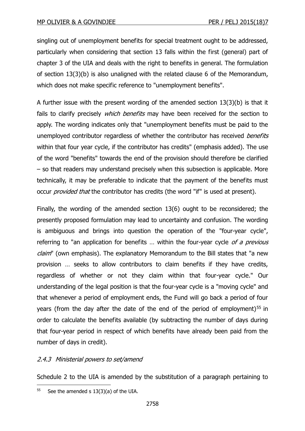singling out of unemployment benefits for special treatment ought to be addressed, particularly when considering that section 13 falls within the first (general) part of chapter 3 of the UIA and deals with the right to benefits in general. The formulation of section 13(3)(b) is also unaligned with the related clause 6 of the Memorandum, which does not make specific reference to "unemployment benefits".

A further issue with the present wording of the amended section 13(3)(b) is that it fails to clarify precisely *which benefits* may have been received for the section to apply. The wording indicates only that "unemployment benefits must be paid to the unemployed contributor regardless of whether the contributor has received *benefits* within that four year cycle, if the contributor has credits" (emphasis added). The use of the word "benefits" towards the end of the provision should therefore be clarified – so that readers may understand precisely when this subsection is applicable. More technically, it may be preferable to indicate that the payment of the benefits must occur *provided that* the contributor has credits (the word "if" is used at present).

Finally, the wording of the amended section 13(6) ought to be reconsidered; the presently proposed formulation may lead to uncertainty and confusion. The wording is ambiguous and brings into question the operation of the "four-year cycle", referring to "an application for benefits ... within the four-year cycle of a previous claim" (own emphasis). The explanatory Memorandum to the Bill states that "a new provision … seeks to allow contributors to claim benefits if they have credits, regardless of whether or not they claim within that four-year cycle." Our understanding of the legal position is that the four-year cycle is a "moving cycle" and that whenever a period of employment ends, the Fund will go back a period of four years (from the day after the date of the end of the period of employment)<sup>55</sup> in order to calculate the benefits available (by subtracting the number of days during that four-year period in respect of which benefits have already been paid from the number of days in credit).

#### 2.4.3 Ministerial powers to set/amend

Schedule 2 to the UIA is amended by the substitution of a paragraph pertaining to

 $\overline{a}$  $55$  See the amended s 13(3)(a) of the UIA.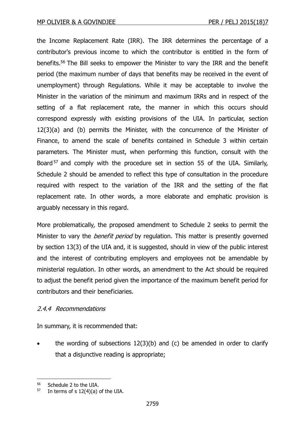the Income Replacement Rate (IRR). The IRR determines the percentage of a contributor's previous income to which the contributor is entitled in the form of benefits. <sup>56</sup> The Bill seeks to empower the Minister to vary the IRR and the benefit period (the maximum number of days that benefits may be received in the event of unemployment) through Regulations. While it may be acceptable to involve the Minister in the variation of the minimum and maximum IRRs and in respect of the setting of a flat replacement rate, the manner in which this occurs should correspond expressly with existing provisions of the UIA. In particular, section 12(3)(a) and (b) permits the Minister, with the concurrence of the Minister of Finance, to amend the scale of benefits contained in Schedule 3 within certain parameters. The Minister must, when performing this function, consult with the Board<sup>57</sup> and comply with the procedure set in section 55 of the UIA. Similarly, Schedule 2 should be amended to reflect this type of consultation in the procedure required with respect to the variation of the IRR and the setting of the flat replacement rate. In other words, a more elaborate and emphatic provision is arguably necessary in this regard.

More problematically, the proposed amendment to Schedule 2 seeks to permit the Minister to vary the *benefit period* by regulation. This matter is presently governed by section 13(3) of the UIA and, it is suggested, should in view of the public interest and the interest of contributing employers and employees not be amendable by ministerial regulation. In other words, an amendment to the Act should be required to adjust the benefit period given the importance of the maximum benefit period for contributors and their beneficiaries.

# 2.4.4 Recommendations

In summary, it is recommended that:

 the wording of subsections 12(3)(b) and (c) be amended in order to clarify that a disjunctive reading is appropriate;

 $\overline{a}$ <sup>56</sup> Schedule 2 to the UIA.

 $57$  In terms of s 12(4)(a) of the UIA.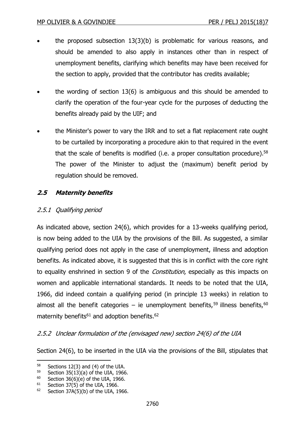- the proposed subsection 13(3)(b) is problematic for various reasons, and should be amended to also apply in instances other than in respect of unemployment benefits, clarifying which benefits may have been received for the section to apply, provided that the contributor has credits available;
- the wording of section 13(6) is ambiguous and this should be amended to clarify the operation of the four-year cycle for the purposes of deducting the benefits already paid by the UIF; and
- the Minister's power to vary the IRR and to set a flat replacement rate ought to be curtailed by incorporating a procedure akin to that required in the event that the scale of benefits is modified (i.e. a proper consultation procedure).<sup>58</sup> The power of the Minister to adjust the (maximum) benefit period by regulation should be removed.

# **2.5 Maternity benefits**

# 2.5.1 Qualifying period

As indicated above, section 24(6), which provides for a 13-weeks qualifying period, is now being added to the UIA by the provisions of the Bill. As suggested, a similar qualifying period does not apply in the case of unemployment, illness and adoption benefits. As indicated above, it is suggested that this is in conflict with the core right to equality enshrined in section 9 of the *Constitution*, especially as this impacts on women and applicable international standards. It needs to be noted that the UIA, 1966, did indeed contain a qualifying period (in principle 13 weeks) in relation to almost all the benefit categories – ie unemployment benefits,<sup>59</sup> illness benefits,<sup>60</sup> maternity benefits<sup>61</sup> and adoption benefits.<sup>62</sup>

# 2.5.2 Unclear formulation of the (envisaged new) section 24(6) of the UIA

Section 24(6), to be inserted in the UIA via the provisions of the Bill, stipulates that

<sup>58</sup> Sections 12(3) and (4) of the UIA.<br>59 Section 35(13)(a) of the UIA 1966

<sup>59</sup> Section 35(13)(a) of the UIA, 1966.<br> $^{60}$  Section 36(6)(e) of the UIA 1966

<sup>&</sup>lt;sup>60</sup> Section 36(6)(e) of the UIA, 1966.<br><sup>61</sup> Section 37(5) of the UIA, 1966.

Section 37(5) of the UIA, 1966.

 $62$  Section 37A(5)(b) of the UIA, 1966.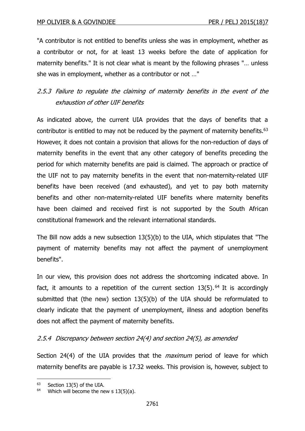"A contributor is not entitled to benefits unless she was in employment, whether as a contributor or not, for at least 13 weeks before the date of application for maternity benefits." It is not clear what is meant by the following phrases "… unless she was in employment, whether as a contributor or not …"

# 2.5.3 Failure to regulate the claiming of maternity benefits in the event of the exhaustion of other UIF benefits

As indicated above, the current UIA provides that the days of benefits that a contributor is entitled to may not be reduced by the payment of maternity benefits.<sup>63</sup> However, it does not contain a provision that allows for the non-reduction of days of maternity benefits in the event that any other category of benefits preceding the period for which maternity benefits are paid is claimed. The approach or practice of the UIF not to pay maternity benefits in the event that non-maternity-related UIF benefits have been received (and exhausted), and yet to pay both maternity benefits and other non-maternity-related UIF benefits where maternity benefits have been claimed and received first is not supported by the South African constitutional framework and the relevant international standards.

The Bill now adds a new subsection 13(5)(b) to the UIA, which stipulates that "The payment of maternity benefits may not affect the payment of unemployment benefits".

In our view, this provision does not address the shortcoming indicated above. In fact, it amounts to a repetition of the current section  $13(5)$ . <sup>64</sup> It is accordingly submitted that (the new) section 13(5)(b) of the UIA should be reformulated to clearly indicate that the payment of unemployment, illness and adoption benefits does not affect the payment of maternity benefits.

# 2.5.4 Discrepancy between section 24(4) and section 24(5), as amended

Section 24(4) of the UIA provides that the *maximum* period of leave for which maternity benefits are payable is 17.32 weeks. This provision is, however, subject to

 $\overline{a}$ <sup>63</sup> Section 13(5) of the UIA.

 $64$  Which will become the new s 13(5)(a).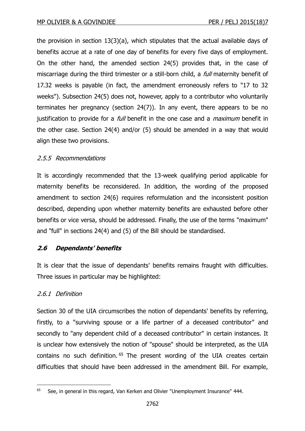the provision in section 13(3)(a), which stipulates that the actual available days of benefits accrue at a rate of one day of benefits for every five days of employment. On the other hand, the amended section 24(5) provides that, in the case of miscarriage during the third trimester or a still-born child, a *full* maternity benefit of 17.32 weeks is payable (in fact, the amendment erroneously refers to "17 to 32 weeks"). Subsection 24(5) does not, however, apply to a contributor who voluntarily terminates her pregnancy (section 24(7)). In any event, there appears to be no justification to provide for a  $full$  benefit in the one case and a *maximum* benefit in the other case. Section 24(4) and/or (5) should be amended in a way that would align these two provisions.

# 2.5.5 Recommendations

It is accordingly recommended that the 13-week qualifying period applicable for maternity benefits be reconsidered. In addition, the wording of the proposed amendment to section 24(6) requires reformulation and the inconsistent position described, depending upon whether maternity benefits are exhausted before other benefits or vice versa, should be addressed. Finally, the use of the terms "maximum" and "full" in sections 24(4) and (5) of the Bill should be standardised.

# **2.6 Dependants' benefits**

It is clear that the issue of dependants' benefits remains fraught with difficulties. Three issues in particular may be highlighted:

#### 2.6.1 Definition

Section 30 of the UIA circumscribes the notion of dependants' benefits by referring, firstly, to a "surviving spouse or a life partner of a deceased contributor" and secondly to "any dependent child of a deceased contributor" in certain instances. It is unclear how extensively the notion of "spouse" should be interpreted, as the UIA contains no such definition. <sup>65</sup> The present wording of the UIA creates certain difficulties that should have been addressed in the amendment Bill. For example,

 $\overline{a}$ <sup>65</sup> See, in general in this regard, Van Kerken and Olivier "Unemployment Insurance" 444.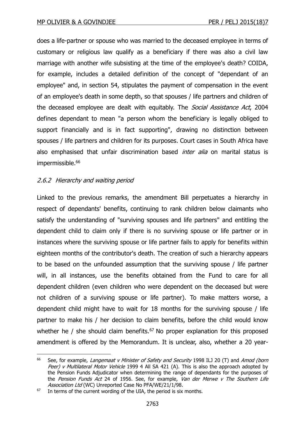does a life-partner or spouse who was married to the deceased employee in terms of customary or religious law qualify as a beneficiary if there was also a civil law marriage with another wife subsisting at the time of the employee's death? COIDA, for example, includes a detailed definition of the concept of "dependant of an employee" and, in section 54, stipulates the payment of compensation in the event of an employee's death in some depth, so that spouses / life partners and children of the deceased employee are dealt with equitably. The Social Assistance Act, 2004 defines dependant to mean "a person whom the beneficiary is legally obliged to support financially and is in fact supporting", drawing no distinction between spouses / life partners and children for its purposes. Court cases in South Africa have also emphasised that unfair discrimination based *inter alia* on marital status is impermissible.<sup>66</sup>

## 2.6.2 Hierarchy and waiting period

 $\overline{a}$ 

Linked to the previous remarks, the amendment Bill perpetuates a hierarchy in respect of dependants' benefits, continuing to rank children below claimants who satisfy the understanding of "surviving spouses and life partners" and entitling the dependent child to claim only if there is no surviving spouse or life partner or in instances where the surviving spouse or life partner fails to apply for benefits within eighteen months of the contributor's death. The creation of such a hierarchy appears to be based on the unfounded assumption that the surviving spouse / life partner will, in all instances, use the benefits obtained from the Fund to care for all dependent children (even children who were dependent on the deceased but were not children of a surviving spouse or life partner). To make matters worse, a dependent child might have to wait for 18 months for the surviving spouse / life partner to make his / her decision to claim benefits, before the child would know whether he  $\prime$  she should claim benefits.<sup>67</sup> No proper explanation for this proposed amendment is offered by the Memorandum. It is unclear, also, whether a 20 year-

<sup>&</sup>lt;sup>66</sup> See, for example, *Langemaat v Minister of Safety and Security* 1998 ILJ 20 (T) and Amod (born Peer) v Multilateral Motor Vehicle 1999 4 All SA 421 (A). This is also the approach adopted by the Pension Funds Adjudicator when determining the range of dependants for the purposes of the Pension Funds Act 24 of 1956. See, for example, Van der Merwe v The Southern Life Association Ltd (WC) Unreported Case No PFA/WE/21/1/98.

 $67$  In terms of the current wording of the UIA, the period is six months.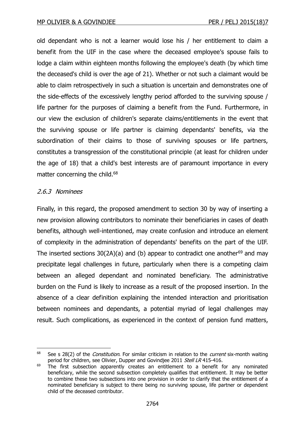old dependant who is not a learner would lose his / her entitlement to claim a benefit from the UIF in the case where the deceased employee's spouse fails to lodge a claim within eighteen months following the employee's death (by which time the deceased's child is over the age of 21). Whether or not such a claimant would be able to claim retrospectively in such a situation is uncertain and demonstrates one of the side-effects of the excessively lengthy period afforded to the surviving spouse / life partner for the purposes of claiming a benefit from the Fund. Furthermore, in our view the exclusion of children's separate claims/entitlements in the event that the surviving spouse or life partner is claiming dependants' benefits, via the subordination of their claims to those of surviving spouses or life partners, constitutes a transgression of the constitutional principle (at least for children under the age of 18) that a child's best interests are of paramount importance in every matter concerning the child.<sup>68</sup>

## 2.6.3 Nominees

 $\overline{a}$ 

Finally, in this regard, the proposed amendment to section 30 by way of inserting a new provision allowing contributors to nominate their beneficiaries in cases of death benefits, although well-intentioned, may create confusion and introduce an element of complexity in the administration of dependants' benefits on the part of the UIF. The inserted sections  $30(2A)(a)$  and (b) appear to contradict one another<sup>69</sup> and may precipitate legal challenges in future, particularly when there is a competing claim between an alleged dependant and nominated beneficiary. The administrative burden on the Fund is likely to increase as a result of the proposed insertion. In the absence of a clear definition explaining the intended interaction and prioritisation between nominees and dependants, a potential myriad of legal challenges may result. Such complications, as experienced in the context of pension fund matters,

<sup>&</sup>lt;sup>68</sup> See s 28(2) of the *Constitution*. For similar criticism in relation to the *current* six-month waiting period for children, see Olivier, Dupper and Govindjee 2011 Stell LR 415-416.

<sup>&</sup>lt;sup>69</sup> The first subsection apparently creates an entitlement to a benefit for any nominated beneficiary, while the second subsection completely qualifies that entitlement. It may be better to combine these two subsections into one provision in order to clarify that the entitlement of a nominated beneficiary is subject to there being no surviving spouse, life partner or dependent child of the deceased contributor.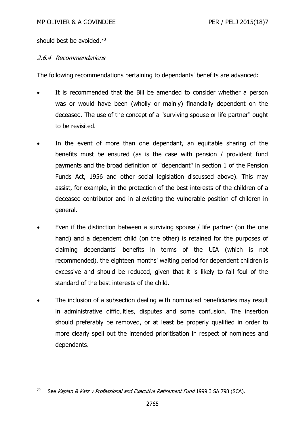should best be avoided.<sup>70</sup>

#### 2.6.4 Recommendations

The following recommendations pertaining to dependants' benefits are advanced:

- It is recommended that the Bill be amended to consider whether a person was or would have been (wholly or mainly) financially dependent on the deceased. The use of the concept of a "surviving spouse or life partner" ought to be revisited.
- In the event of more than one dependant, an equitable sharing of the benefits must be ensured (as is the case with pension / provident fund payments and the broad definition of "dependant" in section 1 of the Pension Funds Act, 1956 and other social legislation discussed above). This may assist, for example, in the protection of the best interests of the children of a deceased contributor and in alleviating the vulnerable position of children in general.
- Even if the distinction between a surviving spouse / life partner (on the one hand) and a dependent child (on the other) is retained for the purposes of claiming dependants' benefits in terms of the UIA (which is not recommended), the eighteen months' waiting period for dependent children is excessive and should be reduced, given that it is likely to fall foul of the standard of the best interests of the child.
- The inclusion of a subsection dealing with nominated beneficiaries may result in administrative difficulties, disputes and some confusion. The insertion should preferably be removed, or at least be properly qualified in order to more clearly spell out the intended prioritisation in respect of nominees and dependants.

 $\overline{a}$ <sup>70</sup> See Kaplan & Katz v Professional and Executive Retirement Fund 1999 3 SA 798 (SCA).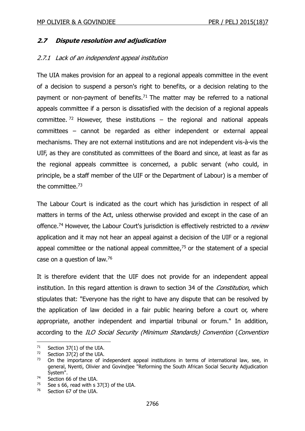## **2.7 Dispute resolution and adjudication**

#### 2.7.1 Lack of an independent appeal institution

The UIA makes provision for an appeal to a regional appeals committee in the event of a decision to suspend a person's right to benefits, or a decision relating to the payment or non-payment of benefits.<sup>71</sup> The matter may be referred to a national appeals committee if a person is dissatisfied with the decision of a regional appeals committee. <sup>72</sup> However, these institutions – the regional and national appeals committees – cannot be regarded as either independent or external appeal mechanisms. They are not external institutions and are not independent vis-à-vis the UIF, as they are constituted as committees of the Board and since, at least as far as the regional appeals committee is concerned, a public servant (who could, in principle, be a staff member of the UIF or the Department of Labour) is a member of the committee.<sup>73</sup>

The Labour Court is indicated as the court which has jurisdiction in respect of all matters in terms of the Act, unless otherwise provided and except in the case of an offence.<sup>74</sup> However, the Labour Court's jurisdiction is effectively restricted to a *review* application and it may not hear an appeal against a decision of the UIF or a regional appeal committee or the national appeal committee,<sup>75</sup> or the statement of a special case on a question of law.<sup>76</sup>

It is therefore evident that the UIF does not provide for an independent appeal institution. In this regard attention is drawn to section 34 of the *Constitution*, which stipulates that: "Everyone has the right to have any dispute that can be resolved by the application of law decided in a fair public hearing before a court or, where appropriate, another independent and impartial tribunal or forum." In addition, according to the ILO Social Security (Minimum Standards) Convention (Convention

<sup>&</sup>lt;sup>71</sup> Section 37(1) of the UIA.<br><sup>72</sup> Section 37(2) of the UIA

 $72$  Section 37(2) of the UIA.<br> $73$  On the importance of in

On the importance of independent appeal institutions in terms of international law, see, in general, Nyenti, Olivier and Govindjee "Reforming the South African Social Security Adjudication System".

 $\frac{74}{75}$  Section 66 of the UIA.

See s 66, read with s 37(3) of the UIA.

<sup>&</sup>lt;sup>76</sup> Section 67 of the UIA.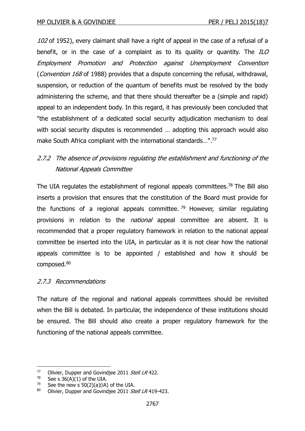102 of 1952), every claimant shall have a right of appeal in the case of a refusal of a benefit, or in the case of a complaint as to its quality or quantity. The ILO Employment Promotion and Protection against Unemployment Convention (Convention 168 of 1988) provides that a dispute concerning the refusal, withdrawal, suspension, or reduction of the quantum of benefits must be resolved by the body administering the scheme, and that there should thereafter be a (simple and rapid) appeal to an independent body. In this regard, it has previously been concluded that "the establishment of a dedicated social security adjudication mechanism to deal with social security disputes is recommended ... adopting this approach would also make South Africa compliant with the international standards...".<sup>77</sup>

# 2.7.2 The absence of provisions regulating the establishment and functioning of the National Appeals Committee

The UIA regulates the establishment of regional appeals committees.<sup>78</sup> The Bill also inserts a provision that ensures that the constitution of the Board must provide for the functions of a regional appeals committee.  $79$  However, similar regulating provisions in relation to the *national* appeal committee are absent. It is recommended that a proper regulatory framework in relation to the national appeal committee be inserted into the UIA, in particular as it is not clear how the national appeals committee is to be appointed / established and how it should be composed.<sup>80</sup>

#### 2.7.3 Recommendations

The nature of the regional and national appeals committees should be revisited when the Bill is debated. In particular, the independence of these institutions should be ensured. The Bill should also create a proper regulatory framework for the functioning of the national appeals committee.

<sup>&</sup>lt;sup>77</sup> Olivier, Dupper and Govindjee 2011 *Stell LR* 422.<br><sup>78</sup> See s 36(A)(1) of the UIA

<sup>&</sup>lt;sup>78</sup> See s 36(A)(1) of the UIA.<br><sup>79</sup> See the new s 50(2)(a)(iA)

See the new s  $50(2)(a)(i)$  of the UIA.

<sup>80</sup> Olivier, Dupper and Govindjee 2011 Stell LR 419-423.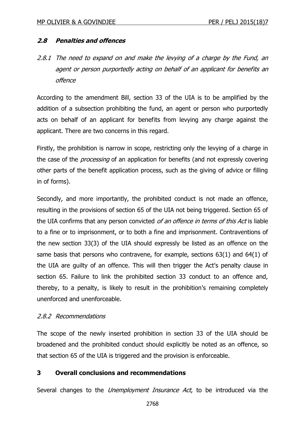#### **2.8 Penalties and offences**

2.8.1 The need to expand on and make the levying of a charge by the Fund, an agent or person purportedly acting on behalf of an applicant for benefits an offence

According to the amendment Bill, section 33 of the UIA is to be amplified by the addition of a subsection prohibiting the fund, an agent or person who purportedly acts on behalf of an applicant for benefits from levying any charge against the applicant. There are two concerns in this regard.

Firstly, the prohibition is narrow in scope, restricting only the levying of a charge in the case of the *processing* of an application for benefits (and not expressly covering other parts of the benefit application process, such as the giving of advice or filling in of forms).

Secondly, and more importantly, the prohibited conduct is not made an offence, resulting in the provisions of section 65 of the UIA not being triggered. Section 65 of the UIA confirms that any person convicted of an offence in terms of this Act is liable to a fine or to imprisonment, or to both a fine and imprisonment. Contraventions of the new section 33(3) of the UIA should expressly be listed as an offence on the same basis that persons who contravene, for example, sections 63(1) and 64(1) of the UIA are guilty of an offence. This will then trigger the Act's penalty clause in section 65. Failure to link the prohibited section 33 conduct to an offence and, thereby, to a penalty, is likely to result in the prohibition's remaining completely unenforced and unenforceable.

#### 2.8.2 Recommendations

The scope of the newly inserted prohibition in section 33 of the UIA should be broadened and the prohibited conduct should explicitly be noted as an offence, so that section 65 of the UIA is triggered and the provision is enforceable.

#### **3 Overall conclusions and recommendations**

Several changes to the *Unemployment Insurance Act*, to be introduced via the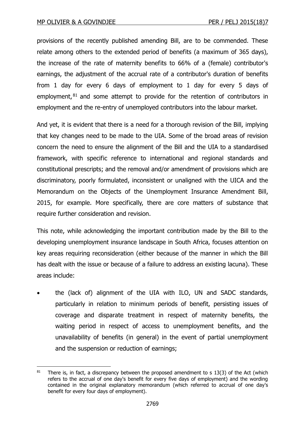$\overline{a}$ 

provisions of the recently published amending Bill, are to be commended. These relate among others to the extended period of benefits (a maximum of 365 days), the increase of the rate of maternity benefits to 66% of a (female) contributor's earnings, the adjustment of the accrual rate of a contributor's duration of benefits from 1 day for every 6 days of employment to 1 day for every 5 days of employment,  $81$  and some attempt to provide for the retention of contributors in employment and the re-entry of unemployed contributors into the labour market.

And yet, it is evident that there is a need for a thorough revision of the Bill, implying that key changes need to be made to the UIA. Some of the broad areas of revision concern the need to ensure the alignment of the Bill and the UIA to a standardised framework, with specific reference to international and regional standards and constitutional prescripts; and the removal and/or amendment of provisions which are discriminatory, poorly formulated, inconsistent or unaligned with the UICA and the Memorandum on the Objects of the Unemployment Insurance Amendment Bill, 2015, for example. More specifically, there are core matters of substance that require further consideration and revision.

This note, while acknowledging the important contribution made by the Bill to the developing unemployment insurance landscape in South Africa, focuses attention on key areas requiring reconsideration (either because of the manner in which the Bill has dealt with the issue or because of a failure to address an existing lacuna). These areas include:

 the (lack of) alignment of the UIA with ILO, UN and SADC standards, particularly in relation to minimum periods of benefit, persisting issues of coverage and disparate treatment in respect of maternity benefits, the waiting period in respect of access to unemployment benefits, and the unavailability of benefits (in general) in the event of partial unemployment and the suspension or reduction of earnings;

<sup>&</sup>lt;sup>81</sup> There is, in fact, a discrepancy between the proposed amendment to s 13(3) of the Act (which refers to the accrual of one day's benefit for every five days of employment) and the wording contained in the original explanatory memorandum (which referred to accrual of one day's benefit for every four days of employment).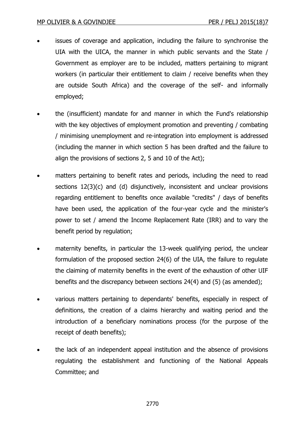- issues of coverage and application, including the failure to synchronise the UIA with the UICA, the manner in which public servants and the State / Government as employer are to be included, matters pertaining to migrant workers (in particular their entitlement to claim / receive benefits when they are outside South Africa) and the coverage of the self- and informally employed;
- the (insufficient) mandate for and manner in which the Fund's relationship with the key objectives of employment promotion and preventing / combating / minimising unemployment and re-integration into employment is addressed (including the manner in which section 5 has been drafted and the failure to align the provisions of sections 2, 5 and 10 of the Act);
- matters pertaining to benefit rates and periods, including the need to read sections 12(3)(c) and (d) disjunctively, inconsistent and unclear provisions regarding entitlement to benefits once available "credits" / days of benefits have been used, the application of the four-year cycle and the minister's power to set / amend the Income Replacement Rate (IRR) and to vary the benefit period by regulation;
- maternity benefits, in particular the 13-week qualifying period, the unclear formulation of the proposed section 24(6) of the UIA, the failure to regulate the claiming of maternity benefits in the event of the exhaustion of other UIF benefits and the discrepancy between sections 24(4) and (5) (as amended);
- various matters pertaining to dependants' benefits, especially in respect of definitions, the creation of a claims hierarchy and waiting period and the introduction of a beneficiary nominations process (for the purpose of the receipt of death benefits);
- the lack of an independent appeal institution and the absence of provisions regulating the establishment and functioning of the National Appeals Committee; and

2770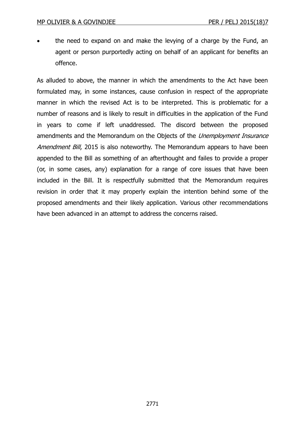the need to expand on and make the levying of a charge by the Fund, an agent or person purportedly acting on behalf of an applicant for benefits an offence.

As alluded to above, the manner in which the amendments to the Act have been formulated may, in some instances, cause confusion in respect of the appropriate manner in which the revised Act is to be interpreted. This is problematic for a number of reasons and is likely to result in difficulties in the application of the Fund in years to come if left unaddressed. The discord between the proposed amendments and the Memorandum on the Objects of the Unemployment Insurance Amendment Bill, 2015 is also noteworthy. The Memorandum appears to have been appended to the Bill as something of an afterthought and failes to provide a proper (or, in some cases, any) explanation for a range of core issues that have been included in the Bill. It is respectfully submitted that the Memorandum requires revision in order that it may properly explain the intention behind some of the proposed amendments and their likely application. Various other recommendations have been advanced in an attempt to address the concerns raised.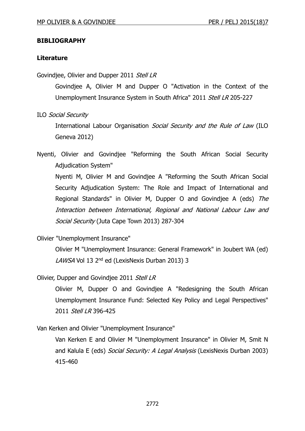#### **BIBLIOGRAPHY**

#### **Literature**

Govindjee, Olivier and Dupper 2011 Stell LR

Govindjee A, Olivier M and Dupper O "Activation in the Context of the Unemployment Insurance System in South Africa" 2011 Stell LR 205-227

ILO Social Security

International Labour Organisation Social Security and the Rule of Law (ILO Geneva 2012)

Nyenti, Olivier and Govindjee "Reforming the South African Social Security Adjudication System"

Nyenti M, Olivier M and Govindjee A "Reforming the South African Social Security Adjudication System: The Role and Impact of International and Regional Standards" in Olivier M, Dupper O and Govindjee A (eds) The Interaction between International, Regional and National Labour Law and Social Security (Juta Cape Town 2013) 287-304

Olivier "Unemployment Insurance"

Olivier M "Unemployment Insurance: General Framework" in Joubert WA (ed) *LAWSA* Vol 13 2<sup>nd</sup> ed (LexisNexis Durban 2013) 3

Olivier, Dupper and Govindjee 2011 Stell LR

Olivier M, Dupper O and Govindjee A "Redesigning the South African Unemployment Insurance Fund: Selected Key Policy and Legal Perspectives" 2011 Stell LR 396-425

Van Kerken and Olivier "Unemployment Insurance"

Van Kerken E and Olivier M "Unemployment Insurance" in Olivier M, Smit N and Kalula E (eds) Social Security: A Legal Analysis (LexisNexis Durban 2003) 415-460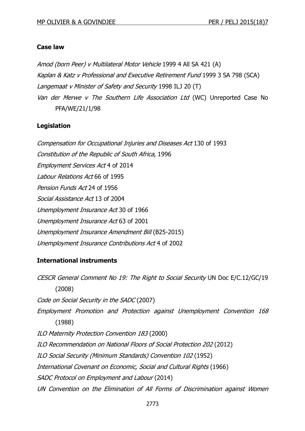#### **Case law**

Amod (born Peer) v Multilateral Motor Vehicle 1999 4 All SA 421 (A) Kaplan & Katz v Professional and Executive Retirement Fund 1999 3 SA 798 (SCA) Langemaat v Minister of Safety and Security 1998 ILJ 20 (T) Van der Merwe v The Southern Life Association Ltd (WC) Unreported Case No PFA/WE/21/1/98

# **Legislation**

Compensation for Occupational Injuries and Diseases Act 130 of 1993 Constitution of the Republic of South Africa, 1996 Employment Services Act 4 of 2014 Labour Relations Act 66 of 1995 Pension Funds Act 24 of 1956 Social Assistance Act 13 of 2004 Unemployment Insurance Act 30 of 1966 Unemployment Insurance Act 63 of 2001 Unemployment Insurance Amendment Bill (B25-2015) Unemployment Insurance Contributions Act 4 of 2002

# **International instruments**

CESCR General Comment No 19: The Right to Social Security UN Doc E/C.12/GC/19 (2008) Code on Social Security in the SADC (2007) Employment Promotion and Protection against Unemployment Convention 168 (1988) ILO Maternity Protection Convention 183 (2000) ILO Recommendation on National Floors of Social Protection 202 (2012) ILO Social Security (Minimum Standards) Convention 102 (1952) International Covenant on Economic, Social and Cultural Rights (1966) SADC Protocol on Employment and Labour (2014) UN Convention on the Elimination of All Forms of Discrimination against Women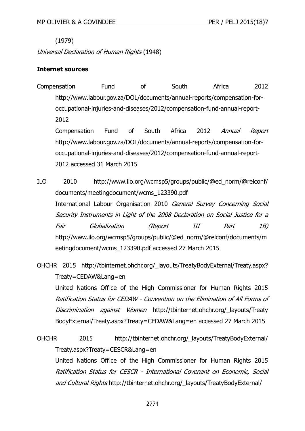(1979)

Universal Declaration of Human Rights (1948)

#### **Internet sources**

Compensation Fund of South Africa 2012 http://www.labour.gov.za/DOL/documents/annual-reports/compensation-foroccupational-injuries-and-diseases/2012/compensation-fund-annual-report-2012 Compensation Fund of South Africa 2012 Annual Report http://www.labour.gov.za/DOL/documents/annual-reports/compensation-foroccupational-injuries-and-diseases/2012/compensation-fund-annual-report-2012 accessed 31 March 2015

ILO 2010 http://www.ilo.org/wcmsp5/groups/public/@ed\_norm/@relconf/ documents/meetingdocument/wcms\_123390.pdf International Labour Organisation 2010 General Survey Concerning Social Security Instruments in Light of the 2008 Declaration on Social Justice for a Fair Globalization (Report III Part 1B) http://www.ilo.org/wcmsp5/groups/public/@ed\_norm/@relconf/documents/m eetingdocument/wcms\_123390.pdf accessed 27 March 2015

OHCHR 2015 http://tbinternet.ohchr.org/\_layouts/TreatyBodyExternal/Treaty.aspx? Treaty=CEDAW&Lang=en United Nations Office of the High Commissioner for Human Rights 2015 Ratification Status for CEDAW - Convention on the Elimination of All Forms of Discrimination against Women http://tbinternet.ohchr.org/\_layouts/Treaty BodyExternal/Treaty.aspx?Treaty=CEDAW&Lang=en accessed 27 March 2015

OHCHR 2015 http://tbinternet.ohchr.org/\_layouts/TreatyBodyExternal/ Treaty.aspx?Treaty=CESCR&Lang=en United Nations Office of the High Commissioner for Human Rights 2015 Ratification Status for CESCR - International Covenant on Economic, Social and Cultural Rights http://tbinternet.ohchr.org/\_layouts/TreatyBodyExternal/

2774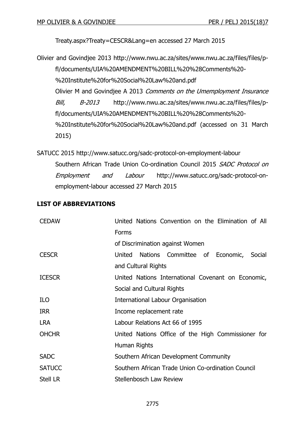Treaty.aspx?Treaty=CESCR&Lang=en accessed 27 March 2015

Olivier and Govindjee 2013 http://www.nwu.ac.za/sites/www.nwu.ac.za/files/files/pfl/documents/UIA%20AMENDMENT%20BILL%20%28Comments%20- %20Institute%20for%20Social%20Law%20and.pdf Olivier M and Govindjee A 2013 Comments on the Umemployment Insurance Bill, B-2013 http://www.nwu.ac.za/sites/www.nwu.ac.za/files/files/pfl/documents/UIA%20AMENDMENT%20BILL%20%28Comments%20- %20Institute%20for%20Social%20Law%20and.pdf (accessed on 31 March 2015)

SATUCC 2015 http://www.satucc.org/sadc-protocol-on-employment-labour Southern African Trade Union Co-ordination Council 2015 SADC Protocol on Employment and Labour http://www.satucc.org/sadc-protocol-onemployment-labour accessed 27 March 2015

## **LIST OF ABBREVIATIONS**

| <b>CEDAW</b>    | United Nations Convention on the Elimination of All |
|-----------------|-----------------------------------------------------|
|                 | Forms                                               |
|                 | of Discrimination against Women                     |
| <b>CESCR</b>    | Nations Committee of Economic, Social<br>United     |
|                 | and Cultural Rights                                 |
| <b>ICESCR</b>   | United Nations International Covenant on Economic,  |
|                 | Social and Cultural Rights                          |
| <b>ILO</b>      | <b>International Labour Organisation</b>            |
| <b>IRR</b>      | Income replacement rate                             |
| <b>LRA</b>      | Labour Relations Act 66 of 1995                     |
| <b>OHCHR</b>    | United Nations Office of the High Commissioner for  |
|                 | Human Rights                                        |
| <b>SADC</b>     | Southern African Development Community              |
| <b>SATUCC</b>   | Southern African Trade Union Co-ordination Council  |
| <b>Stell LR</b> | Stellenbosch Law Review                             |